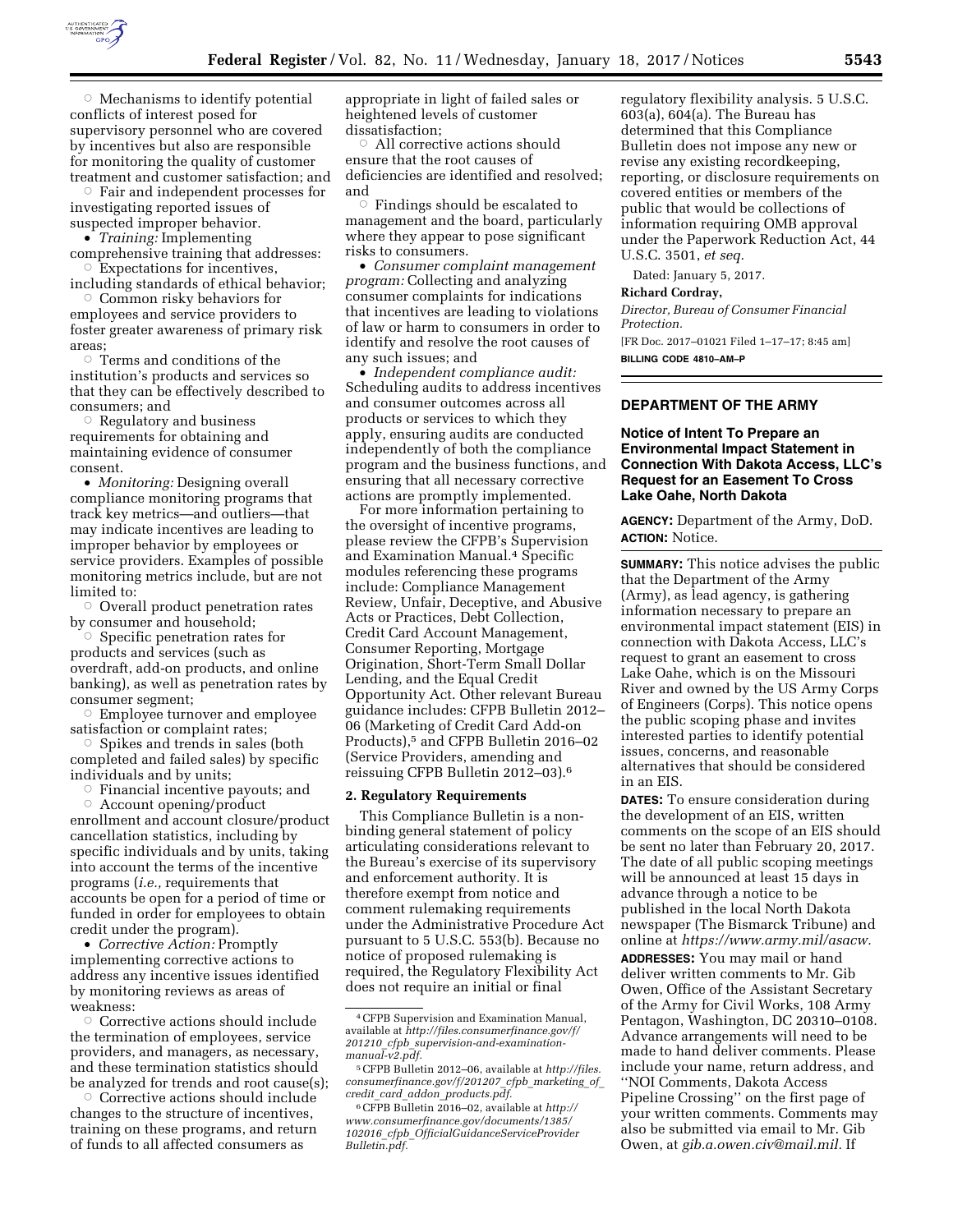

 $\circ$  Mechanisms to identify potential conflicts of interest posed for supervisory personnel who are covered by incentives but also are responsible for monitoring the quality of customer treatment and customer satisfaction; and

 $\circ$  Fair and independent processes for investigating reported issues of suspected improper behavior.

• *Training:* Implementing

comprehensive training that addresses:  $\circ$  Expectations for incentives,

including standards of ethical behavior;  $\circ$  Common risky behaviors for

employees and service providers to foster greater awareness of primary risk areas;

 $\circ$  Terms and conditions of the institution's products and services so that they can be effectively described to consumers; and

 $\circ$  Regulatory and business requirements for obtaining and maintaining evidence of consumer consent.

• *Monitoring:* Designing overall compliance monitoring programs that track key metrics—and outliers—that may indicate incentives are leading to improper behavior by employees or service providers. Examples of possible monitoring metrics include, but are not limited to:

 $\circ$  Overall product penetration rates by consumer and household;

 $\circ$  Specific penetration rates for products and services (such as overdraft, add-on products, and online banking), as well as penetration rates by consumer segment;

 $\circ$  Employee turnover and employee satisfaction or complaint rates;

 $\circ$  Spikes and trends in sales (both completed and failed sales) by specific individuals and by units;

 $\circ$  Financial incentive payouts; and

Æ Account opening/product enrollment and account closure/product cancellation statistics, including by specific individuals and by units, taking into account the terms of the incentive programs (*i.e.,* requirements that accounts be open for a period of time or funded in order for employees to obtain credit under the program).

• *Corrective Action:* Promptly implementing corrective actions to address any incentive issues identified by monitoring reviews as areas of weakness:

 $\circ\,$  Corrective actions should include the termination of employees, service providers, and managers, as necessary, and these termination statistics should be analyzed for trends and root cause(s);

 $\circ$  Corrective actions should include changes to the structure of incentives, training on these programs, and return of funds to all affected consumers as

appropriate in light of failed sales or heightened levels of customer dissatisfaction;

 $\circ$  All corrective actions should ensure that the root causes of deficiencies are identified and resolved; and

Æ Findings should be escalated to management and the board, particularly where they appear to pose significant risks to consumers.

• *Consumer complaint management program:* Collecting and analyzing consumer complaints for indications that incentives are leading to violations of law or harm to consumers in order to identify and resolve the root causes of any such issues; and

• *Independent compliance audit:*  Scheduling audits to address incentives and consumer outcomes across all products or services to which they apply, ensuring audits are conducted independently of both the compliance program and the business functions, and ensuring that all necessary corrective actions are promptly implemented.

For more information pertaining to the oversight of incentive programs, please review the CFPB's Supervision and Examination Manual.4 Specific modules referencing these programs include: Compliance Management Review, Unfair, Deceptive, and Abusive Acts or Practices, Debt Collection, Credit Card Account Management, Consumer Reporting, Mortgage Origination, Short-Term Small Dollar Lending, and the Equal Credit Opportunity Act. Other relevant Bureau guidance includes: CFPB Bulletin 2012– 06 (Marketing of Credit Card Add-on Products),5 and CFPB Bulletin 2016–02 (Service Providers, amending and reissuing CFPB Bulletin 2012–03).6

#### **2. Regulatory Requirements**

This Compliance Bulletin is a nonbinding general statement of policy articulating considerations relevant to the Bureau's exercise of its supervisory and enforcement authority. It is therefore exempt from notice and comment rulemaking requirements under the Administrative Procedure Act pursuant to 5 U.S.C. 553(b). Because no notice of proposed rulemaking is required, the Regulatory Flexibility Act does not require an initial or final

regulatory flexibility analysis. 5 U.S.C. 603(a), 604(a). The Bureau has determined that this Compliance Bulletin does not impose any new or revise any existing recordkeeping, reporting, or disclosure requirements on covered entities or members of the public that would be collections of information requiring OMB approval under the Paperwork Reduction Act, 44 U.S.C. 3501, *et seq.* 

Dated: January 5, 2017.

## **Richard Cordray,**

*Director, Bureau of Consumer Financial Protection.* 

[FR Doc. 2017–01021 Filed 1–17–17; 8:45 am] **BILLING CODE 4810–AM–P** 

## **DEPARTMENT OF THE ARMY**

# **Notice of Intent To Prepare an Environmental Impact Statement in Connection With Dakota Access, LLC's Request for an Easement To Cross Lake Oahe, North Dakota**

**AGENCY:** Department of the Army, DoD. **ACTION:** Notice.

**SUMMARY:** This notice advises the public that the Department of the Army (Army), as lead agency, is gathering information necessary to prepare an environmental impact statement (EIS) in connection with Dakota Access, LLC's request to grant an easement to cross Lake Oahe, which is on the Missouri River and owned by the US Army Corps of Engineers (Corps). This notice opens the public scoping phase and invites interested parties to identify potential issues, concerns, and reasonable alternatives that should be considered in an EIS.

**DATES:** To ensure consideration during the development of an EIS, written comments on the scope of an EIS should be sent no later than February 20, 2017. The date of all public scoping meetings will be announced at least 15 days in advance through a notice to be published in the local North Dakota newspaper (The Bismarck Tribune) and online at *[https://www.army.mil/asacw.](https://www.army.mil/asacw)* 

**ADDRESSES:** You may mail or hand deliver written comments to Mr. Gib Owen, Office of the Assistant Secretary of the Army for Civil Works, 108 Army Pentagon, Washington, DC 20310–0108. Advance arrangements will need to be made to hand deliver comments. Please include your name, return address, and ''NOI Comments, Dakota Access Pipeline Crossing'' on the first page of your written comments. Comments may also be submitted via email to Mr. Gib Owen, at *[gib.a.owen.civ@mail.mil.](mailto:gib.a.owen.civ@mail.mil)* If

<sup>4</sup>CFPB Supervision and Examination Manual, available at *[http://files.consumerfinance.gov/f/](http://files.consumerfinance.gov/f/201210_cfpb_supervision-and-examination-manual-v2.pdf) 201210*\_*cfpb*\_*[supervision-and-examination](http://files.consumerfinance.gov/f/201210_cfpb_supervision-and-examination-manual-v2.pdf)[manual-v2.pdf.](http://files.consumerfinance.gov/f/201210_cfpb_supervision-and-examination-manual-v2.pdf)* 

<sup>5</sup>CFPB Bulletin 2012–06, available at *[http://files.](http://files.consumerfinance.gov/f/201207_cfpb_marketing_of_credit_card_addon_products.pdf) [consumerfinance.gov/f/201207](http://files.consumerfinance.gov/f/201207_cfpb_marketing_of_credit_card_addon_products.pdf)*\_*cfpb*\_*marketing*\_*of*\_ *credit*\_*card*\_*addon*\_*[products.pdf.](http://files.consumerfinance.gov/f/201207_cfpb_marketing_of_credit_card_addon_products.pdf)* 

<sup>6</sup>CFPB Bulletin 2016–02, available at *[http://](http://www.consumerfinance.gov/documents/1385/102016_cfpb_OfficialGuidanceServiceProviderBulletin.pdf) [www.consumerfinance.gov/documents/1385/](http://www.consumerfinance.gov/documents/1385/102016_cfpb_OfficialGuidanceServiceProviderBulletin.pdf)  102016*\_*cfpb*\_*[OfficialGuidanceServiceProvider](http://www.consumerfinance.gov/documents/1385/102016_cfpb_OfficialGuidanceServiceProviderBulletin.pdf) [Bulletin.pdf.](http://www.consumerfinance.gov/documents/1385/102016_cfpb_OfficialGuidanceServiceProviderBulletin.pdf)*